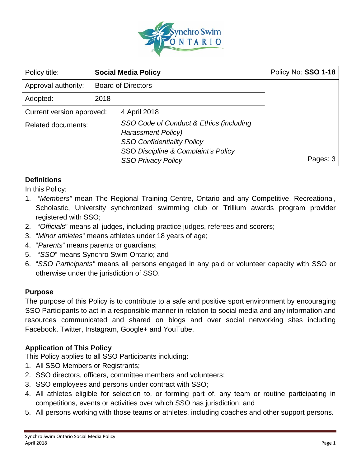

| Policy title:             | <b>Social Media Policy</b> |                                                                                                                                                  | Policy No: SSO 1-18 |
|---------------------------|----------------------------|--------------------------------------------------------------------------------------------------------------------------------------------------|---------------------|
| Approval authority:       | <b>Board of Directors</b>  |                                                                                                                                                  |                     |
| Adopted:                  | 2018                       |                                                                                                                                                  |                     |
| Current version approved: |                            | 4 April 2018                                                                                                                                     |                     |
| <b>Related documents:</b> |                            | SSO Code of Conduct & Ethics (including<br><b>Harassment Policy)</b><br><b>SSO Confidentiality Policy</b><br>SSO Discipline & Complaint's Policy |                     |
|                           |                            | <b>SSO Privacy Policy</b>                                                                                                                        | Pages: 3            |

# **Definitions**

In this Policy:

- 1. *"Members"* mean The Regional Training Centre, Ontario and any Competitive, Recreational, Scholastic, University synchronized swimming club or Trillium awards program provider registered with SSO;
- 2. "*Officials*" means all judges, including practice judges, referees and scorers;
- 3. "*Minor athletes*" means athletes under 18 years of age;
- 4. "*Parents*" means parents or guardians;
- 5. "*SSO*" means Synchro Swim Ontario; and
- 6. "*SSO Participants"* means all persons engaged in any paid or volunteer capacity with SSO or otherwise under the jurisdiction of SSO.

#### **Purpose**

The purpose of this Policy is to contribute to a safe and positive sport environment by encouraging SSO Participants to act in a responsible manner in relation to social media and any information and resources communicated and shared on blogs and over social networking sites including Facebook, Twitter, Instagram, Google+ and YouTube.

# **Application of This Policy**

This Policy applies to all SSO Participants including:

- 1. All SSO Members or Registrants;
- 2. SSO directors, officers, committee members and volunteers;
- 3. SSO employees and persons under contract with SSO;
- 4. All athletes eligible for selection to, or forming part of, any team or routine participating in competitions, events or activities over which SSO has jurisdiction; and
- 5. All persons working with those teams or athletes, including coaches and other support persons.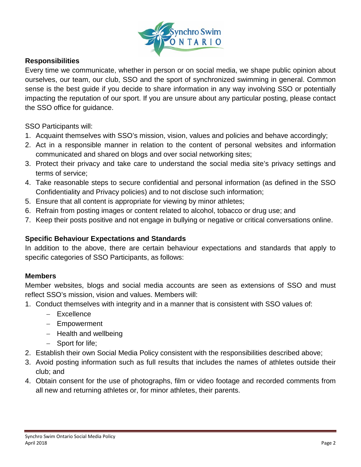

#### **Responsibilities**

Every time we communicate, whether in person or on social media, we shape public opinion about ourselves, our team, our club, SSO and the sport of synchronized swimming in general. Common sense is the best guide if you decide to share information in any way involving SSO or potentially impacting the reputation of our sport. If you are unsure about any particular posting, please contact the SSO office for guidance.

SSO Participants will:

- 1. Acquaint themselves with SSO's mission, vision, values and policies and behave accordingly;
- 2. Act in a responsible manner in relation to the content of personal websites and information communicated and shared on blogs and over social networking sites;
- 3. Protect their privacy and take care to understand the social media site's privacy settings and terms of service;
- 4. Take reasonable steps to secure confidential and personal information (as defined in the SSO Confidentiality and Privacy policies) and to not disclose such information;
- 5. Ensure that all content is appropriate for viewing by minor athletes;
- 6. Refrain from posting images or content related to alcohol, tobacco or drug use; and
- 7. Keep their posts positive and not engage in bullying or negative or critical conversations online.

# **Specific Behaviour Expectations and Standards**

In addition to the above, there are certain behaviour expectations and standards that apply to specific categories of SSO Participants, as follows:

#### **Members**

Member websites, blogs and social media accounts are seen as extensions of SSO and must reflect SSO's mission, vision and values. Members will:

- 1. Conduct themselves with integrity and in a manner that is consistent with SSO values of:
	- − Excellence
	- − Empowerment
	- − Health and wellbeing
	- − Sport for life;
- 2. Establish their own Social Media Policy consistent with the responsibilities described above;
- 3. Avoid posting information such as full results that includes the names of athletes outside their club; and
- 4. Obtain consent for the use of photographs, film or video footage and recorded comments from all new and returning athletes or, for minor athletes, their parents.